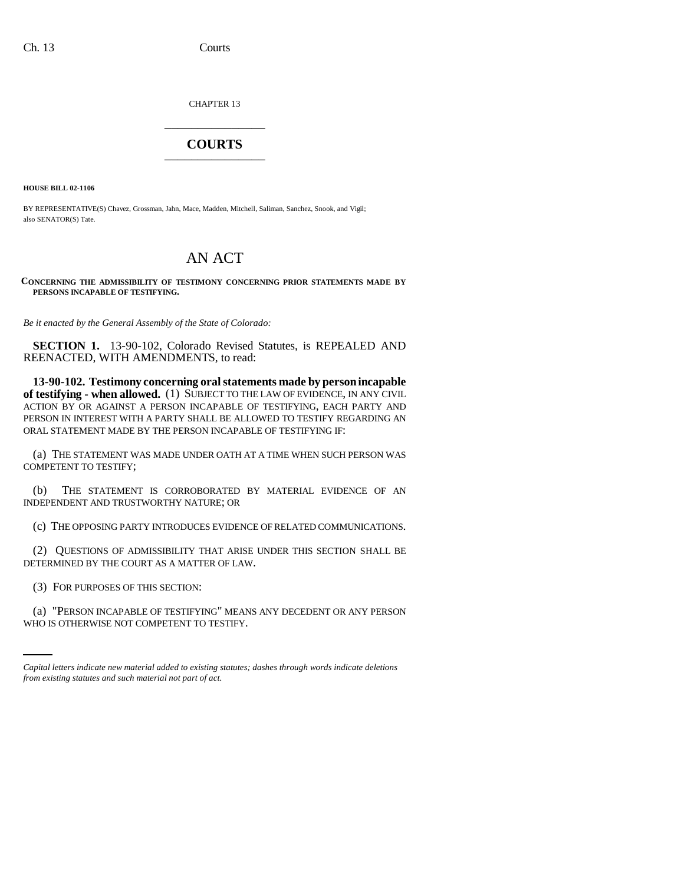CHAPTER 13 \_\_\_\_\_\_\_\_\_\_\_\_\_\_\_

## **COURTS** \_\_\_\_\_\_\_\_\_\_\_\_\_\_\_

**HOUSE BILL 02-1106**

BY REPRESENTATIVE(S) Chavez, Grossman, Jahn, Mace, Madden, Mitchell, Saliman, Sanchez, Snook, and Vigil; also SENATOR(S) Tate.

## AN ACT

**CONCERNING THE ADMISSIBILITY OF TESTIMONY CONCERNING PRIOR STATEMENTS MADE BY PERSONS INCAPABLE OF TESTIFYING.**

*Be it enacted by the General Assembly of the State of Colorado:*

**SECTION 1.** 13-90-102, Colorado Revised Statutes, is REPEALED AND REENACTED, WITH AMENDMENTS, to read:

**13-90-102. Testimony concerning oral statements made by person incapable of testifying - when allowed.** (1) SUBJECT TO THE LAW OF EVIDENCE, IN ANY CIVIL ACTION BY OR AGAINST A PERSON INCAPABLE OF TESTIFYING, EACH PARTY AND PERSON IN INTEREST WITH A PARTY SHALL BE ALLOWED TO TESTIFY REGARDING AN ORAL STATEMENT MADE BY THE PERSON INCAPABLE OF TESTIFYING IF:

(a) THE STATEMENT WAS MADE UNDER OATH AT A TIME WHEN SUCH PERSON WAS COMPETENT TO TESTIFY;

(b) THE STATEMENT IS CORROBORATED BY MATERIAL EVIDENCE OF AN INDEPENDENT AND TRUSTWORTHY NATURE; OR

(c) THE OPPOSING PARTY INTRODUCES EVIDENCE OF RELATED COMMUNICATIONS.

(2) QUESTIONS OF ADMISSIBILITY THAT ARISE UNDER THIS SECTION SHALL BE DETERMINED BY THE COURT AS A MATTER OF LAW.

 $\sum_{i=1}^{n}$ (3) FOR PURPOSES OF THIS SECTION:

(a) "PERSON INCAPABLE OF TESTIFYING" MEANS ANY DECEDENT OR ANY PERSON WHO IS OTHERWISE NOT COMPETENT TO TESTIFY.

*Capital letters indicate new material added to existing statutes; dashes through words indicate deletions from existing statutes and such material not part of act.*